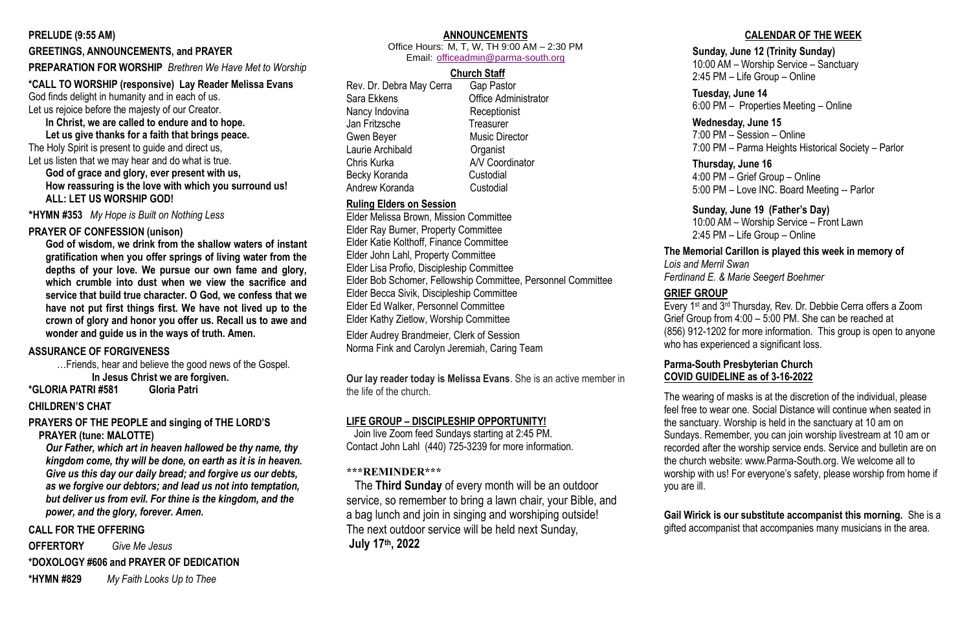#### **PRELUDE (9:55 AM)**

### **GREETINGS, ANNOUNCEMENTS, and PRAYER**

#### **PREPARATION FOR WORSHIP** *Brethren We Have Met to Worship*

#### **\*CALL TO WORSHIP (responsive) Lay Reader Melissa Evans**

God finds delight in humanity and in each of us.

Let us rejoice before the majesty of our Creator.

**In Christ, we are called to endure and to hope.**

**Let us give thanks for a faith that brings peace.** The Holy Spirit is present to guide and direct us, Let us listen that we may hear and do what is true.

**God of grace and glory, ever present with us, How reassuring is the love with which you surround us! ALL: LET US WORSHIP GOD!**

**\*HYMN #353** *My Hope is Built on Nothing Less*

#### **PRAYER OF CONFESSION (unison)**

**God of wisdom, we drink from the shallow waters of instant gratification when you offer springs of living water from the depths of your love. We pursue our own fame and glory, which crumble into dust when we view the sacrifice and service that build true character. O God, we confess that we have not put first things first. We have not lived up to the crown of glory and honor you offer us. Recall us to awe and wonder and guide us in the ways of truth. Amen.**

#### **ASSURANCE OF FORGIVENESS**

…Friends, hear and believe the good news of the Gospel.

**In Jesus Christ we are forgiven.**

**\*GLORIA PATRI #581 Gloria Patri** 

#### **CHILDREN'S CHAT**

**PRAYERS OF THE PEOPLE and singing of THE LORD'S PRAYER (tune: MALOTTE)**

*Our Father, which art in heaven hallowed be thy name, thy kingdom come, thy will be done, on earth as it is in heaven. Give us this day our daily bread; and forgive us our debts, as we forgive our debtors; and lead us not into temptation, but deliver us from evil. For thine is the kingdom, and the power, and the glory, forever. Amen.* 

#### **CALL FOR THE OFFERING**

**OFFERTORY** *Give Me Jesus*

**\*DOXOLOGY #606 and PRAYER OF DEDICATION**

**\*HYMN #829** *My Faith Looks Up to Thee*

### **ANNOUNCEMENTS**

Office Hours: M, T, W, TH 9:00 AM – 2:30 PM Email: [officeadmin@parma-south.org](mailto:officeadmin@parma-south.org)

### **Church Staff**

Rev. Dr. Debra May Cerra Gap Pastor Sara Ekkens Office Administrator Nancy Indovina Receptionist Jan Fritzsche Treasurer Gwen Bever **Music Director** Laurie Archibald **Cancer** Organist Chris Kurka A/V Coordinator Becky Koranda Custodial Andrew Koranda Custodial

### **Ruling Elders on Session**

Elder Melissa Brown, Mission Committee Elder Ray Burner, Property Committee Elder Katie Kolthoff, Finance Committee Elder John Lahl, Property Committee Elder Lisa Profio, Discipleship Committee Elder Bob Schomer, Fellowship Committee, Personnel Committee Elder Becca Sivik, Discipleship Committee Elder Ed Walker, Personnel Committee Elder Kathy Zietlow, Worship Committee

Elder Audrey Brandmeier, Clerk of Session Norma Fink and Carolyn Jeremiah, Caring Team

**Our lay reader today is Melissa Evans**. She is an active member in the life of the church.

#### **LIFE GROUP – DISCIPLESHIP OPPORTUNITY!**

 Join live Zoom feed Sundays starting at 2:45 PM. Contact John Lahl (440) 725-3239 for more information.

#### **\*\*\*REMINDER\*\*\***

 The **Third Sunday** of every month will be an outdoor service, so remember to bring a lawn chair, your Bible, and a bag lunch and join in singing and worshiping outside! The next outdoor service will be held next Sunday, **July 17th, 2022**

### **CALENDAR OF THE WEEK**

#### **Sunday, June 12 (Trinity Sunday)**

10:00 AM – Worship Service – Sanctuary

2:45 PM – Life Group – Online

#### **Tuesday, June 14**

6:00 PM – Properties Meeting – Online

### **Wednesday, June 15**

7:00 PM – Session – Online

7:00 PM – Parma Heights Historical Society – Parlor

#### **Thursday, June 16**

4:00 PM – Grief Group – Online 5:00 PM – Love INC. Board Meeting -- Parlor

#### **Sunday, June 19 (Father's Day)**

10:00 AM – Worship Service – Front Lawn 2:45 PM – Life Group – Online

## **The Memorial Carillon is played this week in memory of** *Ferdinand E. & Marie Seegert Boehmer*

*Lois and Merril Swan* 

#### **GRIEF GROUP**

Every 1st and 3rd Thursday, Rev. Dr. Debbie Cerra offers a Zoom Grief Group from 4:00 – 5:00 PM. She can be reached at (856) 912-1202 for more information. This group is open to anyone who has experienced a significant loss.

#### **Parma-South Presbyterian Church COVID GUIDELINE as of 3-16-2022**

The wearing of masks is at the discretion of the individual, please feel free to wear one. Social Distance will continue when seated in the sanctuary. Worship is held in the sanctuary at 10 am on Sundays. Remember, you can join worship livestream at 10 am or recorded after the worship service ends. Service and bulletin are on the church website: www.Parma-South.org. We welcome all to worship with us! For everyone's safety, please worship from home if you are ill.

**Gail Wirick is our substitute accompanist this morning.** She is a gifted accompanist that accompanies many musicians in the area.